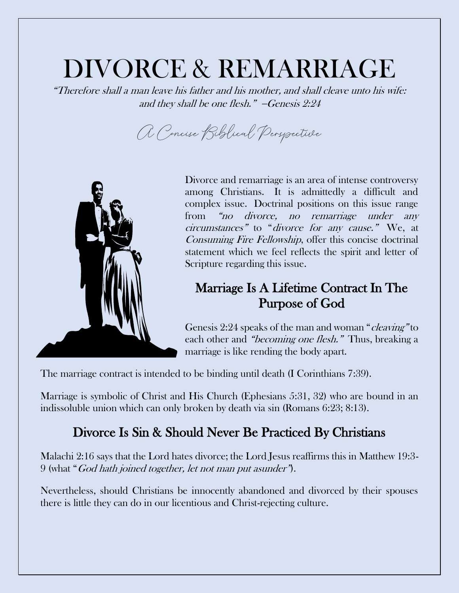# DIVORCE & REMARRIAGE

"Therefore shall a man leave his father and his mother, and shall cleave unto his wife: and they shall be one flesh." −Genesis 2:24

A Concise Biblical Perspective



Divorce and remarriage is an area of intense controversy among Christians. It is admittedly a difficult and complex issue. Doctrinal positions on this issue range from "no divorce, no remarriage under any circumstances" to "divorce for any cause." We, at Consuming Fire Fellowship, offer this concise doctrinal statement which we feel reflects the spirit and letter of Scripture regarding this issue.

### Marriage Is A Lifetime Contract In The Purpose of God

Genesis 2:24 speaks of the man and woman "cleaving" to each other and "becoming one flesh." Thus, breaking a marriage is like rending the body apart.

The marriage contract is intended to be binding until death (I Corinthians 7:39).

Marriage is symbolic of Christ and His Church (Ephesians 5:31, 32) who are bound in an indissoluble union which can only broken by death via sin (Romans 6:23; 8:13).

## Divorce Is Sin & Should Never Be Practiced By Christians

Malachi 2:16 says that the Lord hates divorce; the Lord Jesus reaffirms this in Matthew 19:3- 9 (what "God hath joined together, let not man put asunder").

Nevertheless, should Christians be innocently abandoned and divorced by their spouses there is little they can do in our licentious and Christ-rejecting culture.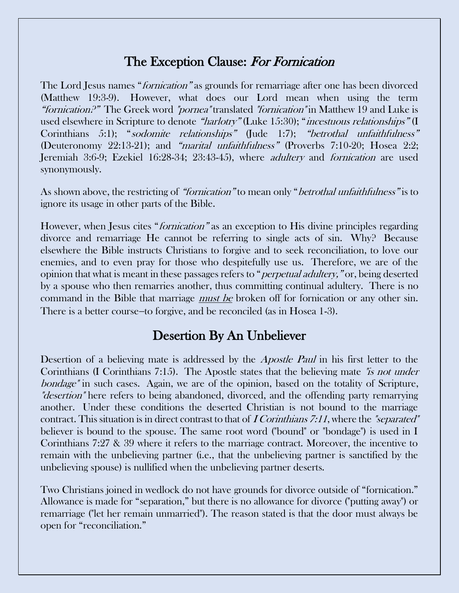#### The Exception Clause: For Fornication

The Lord Jesus names "*fornication*" as grounds for remarriage after one has been divorced (Matthew 19:3-9). However, what does our Lord mean when using the term "*fornication?*" The Greek word "*pornea*" translated "*fornication*" in Matthew 19 and Luke is used elsewhere in Scripture to denote "harlotry" (Luke 15:30); "incestuous relationships" (I Corinthians 5:1); "sodomite relationships" (Jude 1:7); "betrothal unfaithfulness" (Deuteronomy 22:13-21); and "marital unfaithfulness" (Proverbs 7:10-20; Hosea 2:2; Jeremiah 3:6-9; Ezekiel 16:28-34; 23:43-45), where *adultery* and *fornication* are used synonymously.

As shown above, the restricting of "fornication" to mean only "*betrothal unfaithfulness*" is to ignore its usage in other parts of the Bible.

However, when Jesus cites "*fornication*" as an exception to His divine principles regarding divorce and remarriage He cannot be referring to single acts of sin. Why? Because elsewhere the Bible instructs Christians to forgive and to seek reconciliation, to love our enemies, and to even pray for those who despitefully use us. Therefore, we are of the opinion that what is meant in these passages refers to "perpetual adultery," or, being deserted by a spouse who then remarries another, thus committing continual adultery. There is no command in the Bible that marriage must be broken off for fornication or any other sin. There is a better course–to forgive, and be reconciled (as in Hosea 1-3).

#### Desertion By An Unbeliever

Desertion of a believing mate is addressed by the *Apostle Paul* in his first letter to the Corinthians (I Corinthians 7:15). The Apostle states that the believing mate "is not under" bondage" in such cases. Again, we are of the opinion, based on the totality of Scripture, "*desertion*" here refers to being abandoned, divorced, and the offending party remarrying another. Under these conditions the deserted Christian is not bound to the marriage contract. This situation is in direct contrast to that of  $\Gamma$  Corinthians 7:11, where the "separated" believer is bound to the spouse. The same root word ("bound" or "bondage") is used in I Corinthians 7:27 & 39 where it refers to the marriage contract. Moreover, the incentive to remain with the unbelieving partner (i.e., that the unbelieving partner is sanctified by the unbelieving spouse) is nullified when the unbelieving partner deserts.

Two Christians joined in wedlock do not have grounds for divorce outside of "fornication." Allowance is made for "separation," but there is no allowance for divorce ("putting away") or remarriage ("let her remain unmarried"). The reason stated is that the door must always be open for "reconciliation."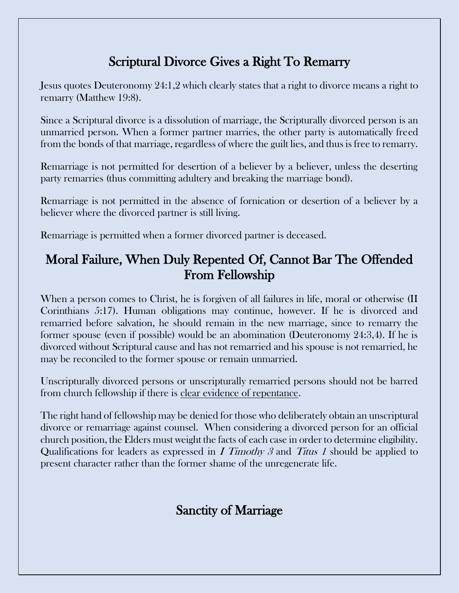## Scriptural Divorce Gives a Right To Remarry

Jesus quotes Deuteronomy 24:1,2 which clearly states that a right to divorce means a right to remarry (Matthew 19:8).

Since a Scriptural divorce is a dissolution of marriage, the Scripturally divorced person is an unmarried person. When a former partner marries, the other party is automatically freed from the bonds of that marriage, regardless of where the guilt lies, and thus is free to remarry.

Remarriage is not permitted for desertion of a believer by a believer, unless the deserting party remarries (thus committing adultery and breaking the marriage bond).

Remarriage is not permitted in the absence of fornication or desertion of a believer by a believer where the divorced partner is still living.

Remarriage is permitted when a former divorced partner is deceased.

## Moral Failure, When Duly Repented Of, Cannot Bar The Offended From Fellowship

When a person comes to Christ, he is forgiven of all failures in life, moral or otherwise (II Corinthians 5:17). Human obligations may continue, however. If he is divorced and remarried before salvation, he should remain in the new marriage, since to remarry the former spouse (even if possible) would be an abomination (Deuteronomy 24:3,4). If he is divorced without Scriptural cause and has not remarried and his spouse is not remarried, he may be reconciled to the former spouse or remain unmarried.

Unscripturally divorced persons or unscripturally remarried persons should not be barred from church fellowship if there is clear evidence of repentance.

The right hand of fellowship may be denied for those who deliberately obtain an unscriptural divorce or remarriage against counsel. When considering a divorced person for an official church position, the Elders must weight the facts of each case in order to determine eligibility. Qualifications for leaders as expressed in I Timothy 3 and Titus 1 should be applied to present character rather than the former shame of the unregenerate life.

## Sanctity of Marriage